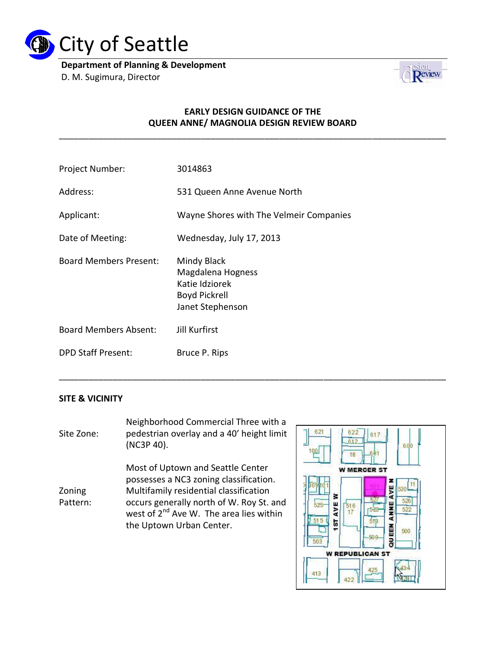

**Department of Planning & Development** D. M. Sugimura, Director



## **EARLY DESIGN GUIDANCE OF THE QUEEN ANNE/ MAGNOLIA DESIGN REVIEW BOARD**

\_\_\_\_\_\_\_\_\_\_\_\_\_\_\_\_\_\_\_\_\_\_\_\_\_\_\_\_\_\_\_\_\_\_\_\_\_\_\_\_\_\_\_\_\_\_\_\_\_\_\_\_\_\_\_\_\_\_\_\_\_\_\_\_\_\_\_\_\_\_\_\_\_\_\_\_\_\_\_

\_\_\_\_\_\_\_\_\_\_\_\_\_\_\_\_\_\_\_\_\_\_\_\_\_\_\_\_\_\_\_\_\_\_\_\_\_\_\_\_\_\_\_\_\_\_\_\_\_\_\_\_\_\_\_\_\_\_\_\_\_\_\_\_\_\_\_\_\_\_\_\_\_\_\_\_\_\_\_

| Project Number:              | 3014863                                                                                 |
|------------------------------|-----------------------------------------------------------------------------------------|
| Address:                     | 531 Queen Anne Avenue North                                                             |
| Applicant:                   | Wayne Shores with The Velmeir Companies                                                 |
| Date of Meeting:             | Wednesday, July 17, 2013                                                                |
| Board Members Present:       | Mindy Black<br>Magdalena Hogness<br>Katie Idziorek<br>Boyd Pickrell<br>Janet Stephenson |
| <b>Board Members Absent:</b> | <b>Jill Kurfirst</b>                                                                    |
| <b>DPD Staff Present:</b>    | Bruce P. Rips                                                                           |
|                              |                                                                                         |

### **SITE & VICINITY**

Site Zone: Neighborhood Commercial Three with a pedestrian overlay and a 40' height limit (NC3P 40). Zoning Pattern: Most of Uptown and Seattle Center possesses a NC3 zoning classification. Multifamily residential classification occurs generally north of W. Roy St. and west of  $2^{nd}$  Ave W. The area lies within the Uptown Urban Center.

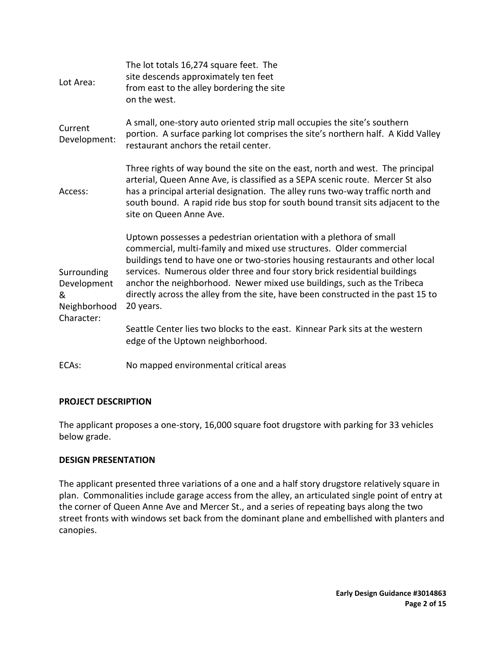| Lot Area:                                                     | The lot totals 16,274 square feet. The<br>site descends approximately ten feet<br>from east to the alley bordering the site<br>on the west.                                                                                                                                                                                                                                                                                                                                         |
|---------------------------------------------------------------|-------------------------------------------------------------------------------------------------------------------------------------------------------------------------------------------------------------------------------------------------------------------------------------------------------------------------------------------------------------------------------------------------------------------------------------------------------------------------------------|
| Current<br>Development:                                       | A small, one-story auto oriented strip mall occupies the site's southern<br>portion. A surface parking lot comprises the site's northern half. A Kidd Valley<br>restaurant anchors the retail center.                                                                                                                                                                                                                                                                               |
| Access:                                                       | Three rights of way bound the site on the east, north and west. The principal<br>arterial, Queen Anne Ave, is classified as a SEPA scenic route. Mercer St also<br>has a principal arterial designation. The alley runs two-way traffic north and<br>south bound. A rapid ride bus stop for south bound transit sits adjacent to the<br>site on Queen Anne Ave.                                                                                                                     |
| Surrounding<br>Development<br>&<br>Neighborhood<br>Character: | Uptown possesses a pedestrian orientation with a plethora of small<br>commercial, multi-family and mixed use structures. Older commercial<br>buildings tend to have one or two-stories housing restaurants and other local<br>services. Numerous older three and four story brick residential buildings<br>anchor the neighborhood. Newer mixed use buildings, such as the Tribeca<br>directly across the alley from the site, have been constructed in the past 15 to<br>20 years. |
|                                                               | Seattle Center lies two blocks to the east. Kinnear Park sits at the western<br>edge of the Uptown neighborhood.                                                                                                                                                                                                                                                                                                                                                                    |
| ECAs:                                                         | No mapped environmental critical areas                                                                                                                                                                                                                                                                                                                                                                                                                                              |

### **PROJECT DESCRIPTION**

The applicant proposes a one-story, 16,000 square foot drugstore with parking for 33 vehicles below grade.

## **DESIGN PRESENTATION**

The applicant presented three variations of a one and a half story drugstore relatively square in plan. Commonalities include garage access from the alley, an articulated single point of entry at the corner of Queen Anne Ave and Mercer St., and a series of repeating bays along the two street fronts with windows set back from the dominant plane and embellished with planters and canopies.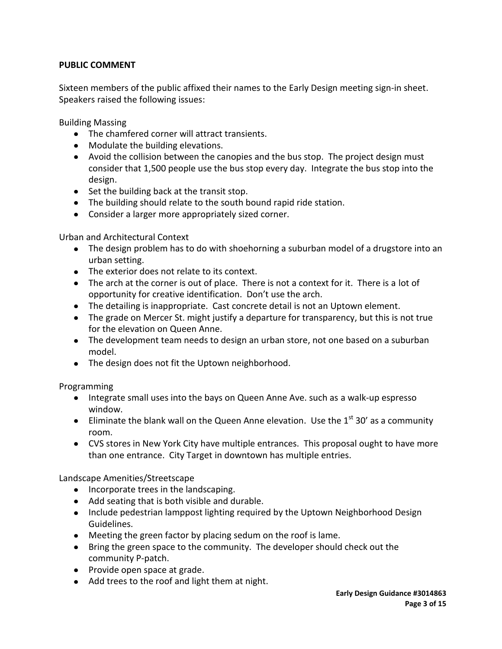# **PUBLIC COMMENT**

Sixteen members of the public affixed their names to the Early Design meeting sign-in sheet. Speakers raised the following issues:

Building Massing

- The chamfered corner will attract transients.
- Modulate the building elevations.
- Avoid the collision between the canopies and the bus stop. The project design must consider that 1,500 people use the bus stop every day. Integrate the bus stop into the design.
- $\bullet$  Set the building back at the transit stop.
- The building should relate to the south bound rapid ride station.
- Consider a larger more appropriately sized corner.

Urban and Architectural Context

- The design problem has to do with shoehorning a suburban model of a drugstore into an urban setting.
- The exterior does not relate to its context.
- The arch at the corner is out of place. There is not a context for it. There is a lot of opportunity for creative identification. Don't use the arch.
- The detailing is inappropriate. Cast concrete detail is not an Uptown element.
- The grade on Mercer St. might justify a departure for transparency, but this is not true for the elevation on Queen Anne.
- The development team needs to design an urban store, not one based on a suburban model.
- The design does not fit the Uptown neighborhood.

Programming

- Integrate small uses into the bays on Queen Anne Ave. such as a walk-up espresso window.
- Eliminate the blank wall on the Queen Anne elevation. Use the  $1<sup>st</sup>$  30' as a community room.
- CVS stores in New York City have multiple entrances. This proposal ought to have more than one entrance. City Target in downtown has multiple entries.

Landscape Amenities/Streetscape

- Incorporate trees in the landscaping.
- Add seating that is both visible and durable.
- Include pedestrian lamppost lighting required by the Uptown Neighborhood Design Guidelines.
- Meeting the green factor by placing sedum on the roof is lame.
- Bring the green space to the community. The developer should check out the community P-patch.
- Provide open space at grade.
- Add trees to the roof and light them at night.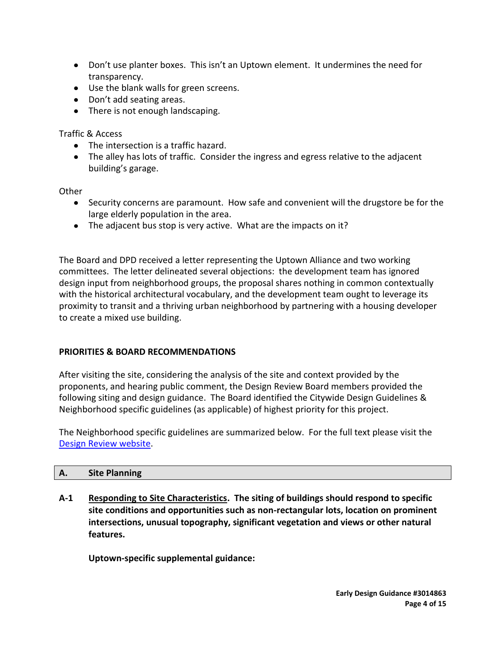- Don't use planter boxes. This isn't an Uptown element. It undermines the need for transparency.
- Use the blank walls for green screens.
- Don't add seating areas.
- There is not enough landscaping.

Traffic & Access

- The intersection is a traffic hazard.
- The alley has lots of traffic. Consider the ingress and egress relative to the adjacent building's garage.

**Other** 

- Security concerns are paramount. How safe and convenient will the drugstore be for the large elderly population in the area.
- The adjacent bus stop is very active. What are the impacts on it?

The Board and DPD received a letter representing the Uptown Alliance and two working committees. The letter delineated several objections: the development team has ignored design input from neighborhood groups, the proposal shares nothing in common contextually with the historical architectural vocabulary, and the development team ought to leverage its proximity to transit and a thriving urban neighborhood by partnering with a housing developer to create a mixed use building.

# **PRIORITIES & BOARD RECOMMENDATIONS**

After visiting the site, considering the analysis of the site and context provided by the proponents, and hearing public comment, the Design Review Board members provided the following siting and design guidance. The Board identified the Citywide Design Guidelines & Neighborhood specific guidelines (as applicable) of highest priority for this project.

The Neighborhood specific guidelines are summarized below. For the full text please visit the [Design Review website.](http://www.seattle.gov/dpd/Planning/Design_Review_Program/Applicant_s_Toolbox/Design_Guidelines/DPD_001604.asp)

| Α. | <b>Site Planning</b> |  |
|----|----------------------|--|
|    |                      |  |

**A-1 Responding to Site Characteristics. The siting of buildings should respond to specific site conditions and opportunities such as non-rectangular lots, location on prominent intersections, unusual topography, significant vegetation and views or other natural features.**

**Uptown-specific supplemental guidance:**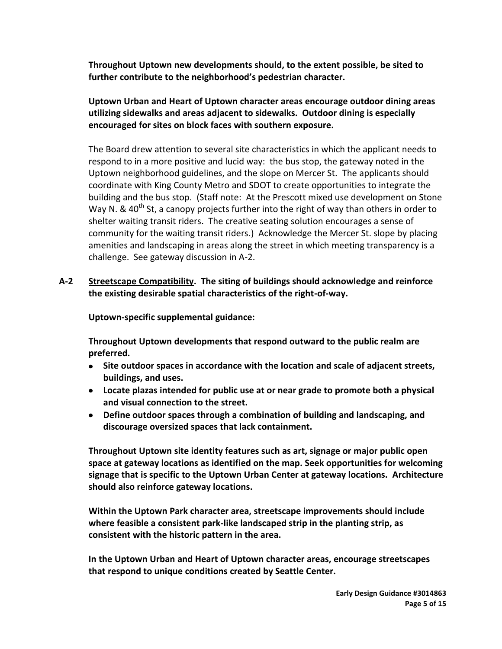**Throughout Uptown new developments should, to the extent possible, be sited to further contribute to the neighborhood's pedestrian character.**

**Uptown Urban and Heart of Uptown character areas encourage outdoor dining areas utilizing sidewalks and areas adjacent to sidewalks. Outdoor dining is especially encouraged for sites on block faces with southern exposure.**

The Board drew attention to several site characteristics in which the applicant needs to respond to in a more positive and lucid way: the bus stop, the gateway noted in the Uptown neighborhood guidelines, and the slope on Mercer St. The applicants should coordinate with King County Metro and SDOT to create opportunities to integrate the building and the bus stop. (Staff note: At the Prescott mixed use development on Stone Way N. &  $40^{th}$  St, a canopy projects further into the right of way than others in order to shelter waiting transit riders. The creative seating solution encourages a sense of community for the waiting transit riders.) Acknowledge the Mercer St. slope by placing amenities and landscaping in areas along the street in which meeting transparency is a challenge. See gateway discussion in A-2.

# **A-2 Streetscape Compatibility. The siting of buildings should acknowledge and reinforce the existing desirable spatial characteristics of the right-of-way.**

**Uptown-specific supplemental guidance:**

**Throughout Uptown developments that respond outward to the public realm are preferred.**

- **Site outdoor spaces in accordance with the location and scale of adjacent streets, buildings, and uses.**
- **Locate plazas intended for public use at or near grade to promote both a physical and visual connection to the street.**
- **Define outdoor spaces through a combination of building and landscaping, and discourage oversized spaces that lack containment.**

**Throughout Uptown site identity features such as art, signage or major public open space at gateway locations as identified on the map. Seek opportunities for welcoming signage that is specific to the Uptown Urban Center at gateway locations. Architecture should also reinforce gateway locations.**

**Within the Uptown Park character area, streetscape improvements should include where feasible a consistent park-like landscaped strip in the planting strip, as consistent with the historic pattern in the area.**

**In the Uptown Urban and Heart of Uptown character areas, encourage streetscapes that respond to unique conditions created by Seattle Center.**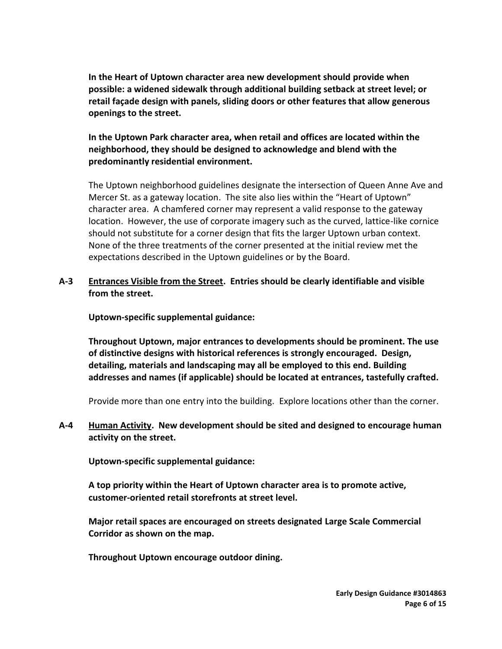**In the Heart of Uptown character area new development should provide when possible: a widened sidewalk through additional building setback at street level; or retail façade design with panels, sliding doors or other features that allow generous openings to the street.**

# **In the Uptown Park character area, when retail and offices are located within the neighborhood, they should be designed to acknowledge and blend with the predominantly residential environment.**

The Uptown neighborhood guidelines designate the intersection of Queen Anne Ave and Mercer St. as a gateway location. The site also lies within the "Heart of Uptown" character area. A chamfered corner may represent a valid response to the gateway location. However, the use of corporate imagery such as the curved, lattice-like cornice should not substitute for a corner design that fits the larger Uptown urban context. None of the three treatments of the corner presented at the initial review met the expectations described in the Uptown guidelines or by the Board.

# **A-3 Entrances Visible from the Street. Entries should be clearly identifiable and visible from the street.**

**Uptown-specific supplemental guidance:**

**Throughout Uptown, major entrances to developments should be prominent. The use of distinctive designs with historical references is strongly encouraged. Design, detailing, materials and landscaping may all be employed to this end. Building addresses and names (if applicable) should be located at entrances, tastefully crafted.**

Provide more than one entry into the building. Explore locations other than the corner.

# **A-4 Human Activity. New development should be sited and designed to encourage human activity on the street.**

**Uptown-specific supplemental guidance:**

**A top priority within the Heart of Uptown character area is to promote active, customer-oriented retail storefronts at street level.**

**Major retail spaces are encouraged on streets designated Large Scale Commercial Corridor as shown on the map.**

**Throughout Uptown encourage outdoor dining.**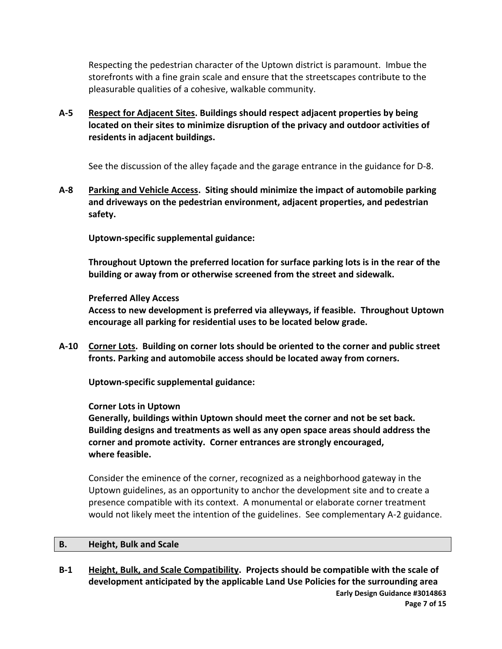Respecting the pedestrian character of the Uptown district is paramount. Imbue the storefronts with a fine grain scale and ensure that the streetscapes contribute to the pleasurable qualities of a cohesive, walkable community.

**A-5 Respect for Adjacent Sites. Buildings should respect adjacent properties by being located on their sites to minimize disruption of the privacy and outdoor activities of residents in adjacent buildings.**

See the discussion of the alley façade and the garage entrance in the guidance for D-8.

**A-8 Parking and Vehicle Access. Siting should minimize the impact of automobile parking and driveways on the pedestrian environment, adjacent properties, and pedestrian safety.**

**Uptown-specific supplemental guidance:**

**Throughout Uptown the preferred location for surface parking lots is in the rear of the building or away from or otherwise screened from the street and sidewalk.**

### **Preferred Alley Access**

**Access to new development is preferred via alleyways, if feasible. Throughout Uptown encourage all parking for residential uses to be located below grade.**

**A-10 Corner Lots. Building on corner lots should be oriented to the corner and public street fronts. Parking and automobile access should be located away from corners.**

**Uptown-specific supplemental guidance:**

### **Corner Lots in Uptown**

**Generally, buildings within Uptown should meet the corner and not be set back. Building designs and treatments as well as any open space areas should address the corner and promote activity. Corner entrances are strongly encouraged, where feasible.**

Consider the eminence of the corner, recognized as a neighborhood gateway in the Uptown guidelines, as an opportunity to anchor the development site and to create a presence compatible with its context. A monumental or elaborate corner treatment would not likely meet the intention of the guidelines. See complementary A-2 guidance.

#### **B. Height, Bulk and Scale**

**Early Design Guidance #3014863 Page 7 of 15 B-1 Height, Bulk, and Scale Compatibility. Projects should be compatible with the scale of development anticipated by the applicable Land Use Policies for the surrounding area**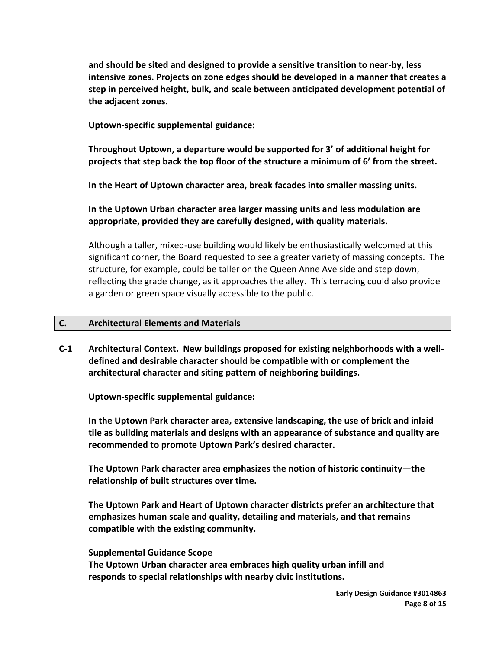**and should be sited and designed to provide a sensitive transition to near-by, less intensive zones. Projects on zone edges should be developed in a manner that creates a step in perceived height, bulk, and scale between anticipated development potential of the adjacent zones.**

**Uptown-specific supplemental guidance:**

**Throughout Uptown, a departure would be supported for 3' of additional height for projects that step back the top floor of the structure a minimum of 6' from the street.**

**In the Heart of Uptown character area, break facades into smaller massing units.**

**In the Uptown Urban character area larger massing units and less modulation are appropriate, provided they are carefully designed, with quality materials.**

Although a taller, mixed-use building would likely be enthusiastically welcomed at this significant corner, the Board requested to see a greater variety of massing concepts. The structure, for example, could be taller on the Queen Anne Ave side and step down, reflecting the grade change, as it approaches the alley. This terracing could also provide a garden or green space visually accessible to the public.

#### **C. Architectural Elements and Materials**

**C-1 Architectural Context. New buildings proposed for existing neighborhoods with a welldefined and desirable character should be compatible with or complement the architectural character and siting pattern of neighboring buildings.**

**Uptown-specific supplemental guidance:**

**In the Uptown Park character area, extensive landscaping, the use of brick and inlaid tile as building materials and designs with an appearance of substance and quality are recommended to promote Uptown Park's desired character.**

**The Uptown Park character area emphasizes the notion of historic continuity—the relationship of built structures over time.**

**The Uptown Park and Heart of Uptown character districts prefer an architecture that emphasizes human scale and quality, detailing and materials, and that remains compatible with the existing community.**

#### **Supplemental Guidance Scope**

**The Uptown Urban character area embraces high quality urban infill and responds to special relationships with nearby civic institutions.**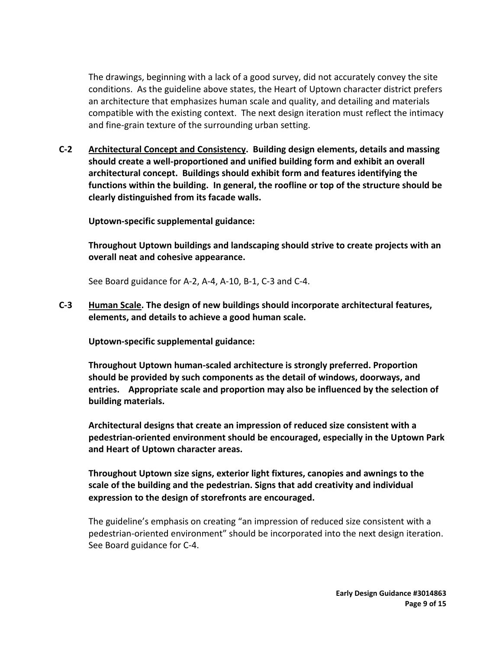The drawings, beginning with a lack of a good survey, did not accurately convey the site conditions. As the guideline above states, the Heart of Uptown character district prefers an architecture that emphasizes human scale and quality, and detailing and materials compatible with the existing context. The next design iteration must reflect the intimacy and fine-grain texture of the surrounding urban setting.

**C-2 Architectural Concept and Consistency. Building design elements, details and massing should create a well-proportioned and unified building form and exhibit an overall architectural concept. Buildings should exhibit form and features identifying the functions within the building. In general, the roofline or top of the structure should be clearly distinguished from its facade walls.**

**Uptown-specific supplemental guidance:**

**Throughout Uptown buildings and landscaping should strive to create projects with an overall neat and cohesive appearance.**

See Board guidance for A-2, A-4, A-10, B-1, C-3 and C-4.

**C-3 Human Scale. The design of new buildings should incorporate architectural features, elements, and details to achieve a good human scale.** 

**Uptown-specific supplemental guidance:**

**Throughout Uptown human-scaled architecture is strongly preferred. Proportion should be provided by such components as the detail of windows, doorways, and entries. Appropriate scale and proportion may also be influenced by the selection of building materials.**

**Architectural designs that create an impression of reduced size consistent with a pedestrian-oriented environment should be encouraged, especially in the Uptown Park and Heart of Uptown character areas.**

**Throughout Uptown size signs, exterior light fixtures, canopies and awnings to the scale of the building and the pedestrian. Signs that add creativity and individual expression to the design of storefronts are encouraged.**

The guideline's emphasis on creating "an impression of reduced size consistent with a pedestrian-oriented environment" should be incorporated into the next design iteration. See Board guidance for C-4.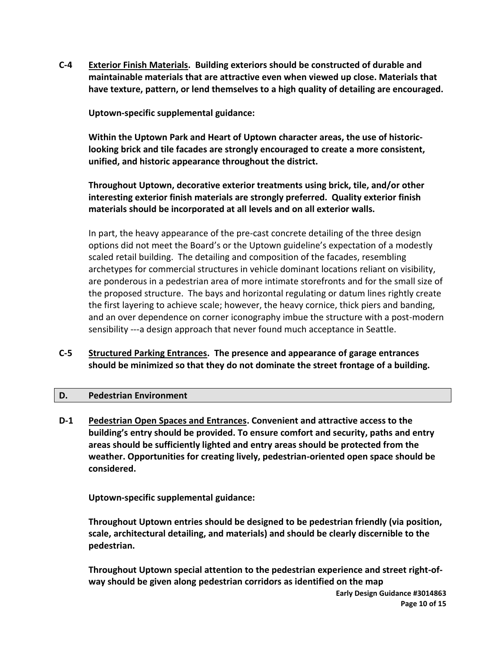**C-4 Exterior Finish Materials. Building exteriors should be constructed of durable and maintainable materials that are attractive even when viewed up close. Materials that have texture, pattern, or lend themselves to a high quality of detailing are encouraged.**

**Uptown-specific supplemental guidance:**

**Within the Uptown Park and Heart of Uptown character areas, the use of historiclooking brick and tile facades are strongly encouraged to create a more consistent, unified, and historic appearance throughout the district.**

**Throughout Uptown, decorative exterior treatments using brick, tile, and/or other interesting exterior finish materials are strongly preferred. Quality exterior finish materials should be incorporated at all levels and on all exterior walls.**

In part, the heavy appearance of the pre-cast concrete detailing of the three design options did not meet the Board's or the Uptown guideline's expectation of a modestly scaled retail building. The detailing and composition of the facades, resembling archetypes for commercial structures in vehicle dominant locations reliant on visibility, are ponderous in a pedestrian area of more intimate storefronts and for the small size of the proposed structure. The bays and horizontal regulating or datum lines rightly create the first layering to achieve scale; however, the heavy cornice, thick piers and banding, and an over dependence on corner iconography imbue the structure with a post-modern sensibility ---a design approach that never found much acceptance in Seattle.

# **C-5 Structured Parking Entrances. The presence and appearance of garage entrances should be minimized so that they do not dominate the street frontage of a building.**

### **D. Pedestrian Environment**

**D-1 Pedestrian Open Spaces and Entrances. Convenient and attractive access to the building's entry should be provided. To ensure comfort and security, paths and entry areas should be sufficiently lighted and entry areas should be protected from the weather. Opportunities for creating lively, pedestrian-oriented open space should be considered.**

**Uptown-specific supplemental guidance:**

**Throughout Uptown entries should be designed to be pedestrian friendly (via position, scale, architectural detailing, and materials) and should be clearly discernible to the pedestrian.**

**Throughout Uptown special attention to the pedestrian experience and street right-ofway should be given along pedestrian corridors as identified on the map**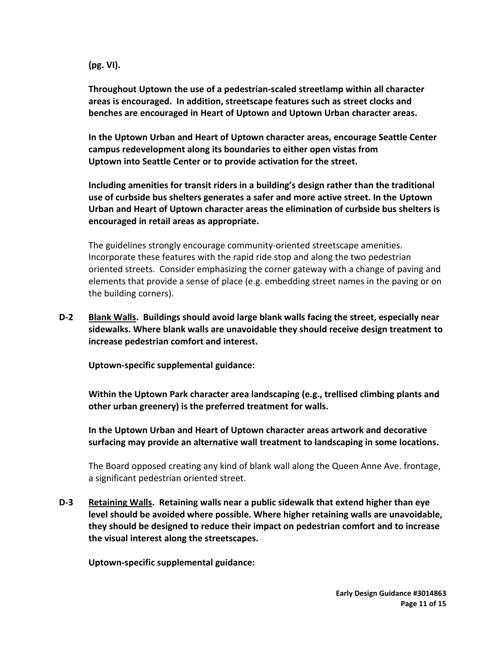**(pg. VI).**

**Throughout Uptown the use of a pedestrian-scaled streetlamp within all character areas is encouraged. In addition, streetscape features such as street clocks and benches are encouraged in Heart of Uptown and Uptown Urban character areas.**

**In the Uptown Urban and Heart of Uptown character areas, encourage Seattle Center campus redevelopment along its boundaries to either open vistas from Uptown into Seattle Center or to provide activation for the street.**

**Including amenities for transit riders in a building's design rather than the traditional use of curbside bus shelters generates a safer and more active street. In the Uptown Urban and Heart of Uptown character areas the elimination of curbside bus shelters is encouraged in retail areas as appropriate.**

The guidelines strongly encourage community-oriented streetscape amenities. Incorporate these features with the rapid ride stop and along the two pedestrian oriented streets. Consider emphasizing the corner gateway with a change of paving and elements that provide a sense of place (e.g. embedding street names in the paving or on the building corners).

**D-2 Blank Walls. Buildings should avoid large blank walls facing the street, especially near sidewalks. Where blank walls are unavoidable they should receive design treatment to increase pedestrian comfort and interest.**

**Uptown-specific supplemental guidance:**

**Within the Uptown Park character area landscaping (e.g., trellised climbing plants and other urban greenery) is the preferred treatment for walls.**

**In the Uptown Urban and Heart of Uptown character areas artwork and decorative surfacing may provide an alternative wall treatment to landscaping in some locations.**

The Board opposed creating any kind of blank wall along the Queen Anne Ave. frontage, a significant pedestrian oriented street.

**D-3 Retaining Walls. Retaining walls near a public sidewalk that extend higher than eye level should be avoided where possible. Where higher retaining walls are unavoidable, they should be designed to reduce their impact on pedestrian comfort and to increase the visual interest along the streetscapes.**

**Uptown-specific supplemental guidance:**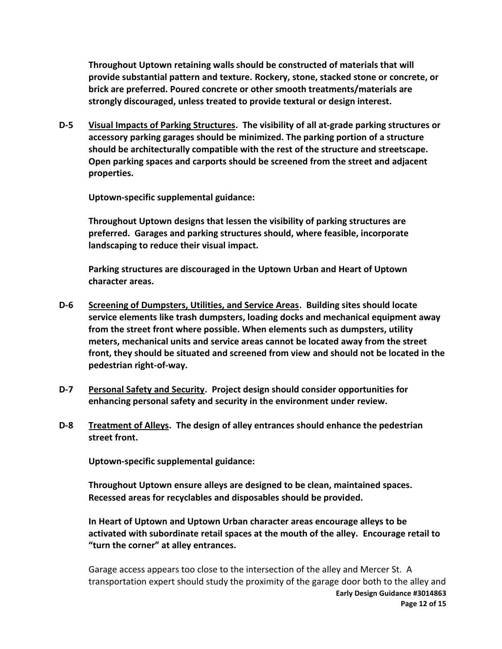**Throughout Uptown retaining walls should be constructed of materials that will provide substantial pattern and texture. Rockery, stone, stacked stone or concrete, or brick are preferred. Poured concrete or other smooth treatments/materials are strongly discouraged, unless treated to provide textural or design interest.**

**D-5 Visual Impacts of Parking Structures. The visibility of all at-grade parking structures or accessory parking garages should be minimized. The parking portion of a structure should be architecturally compatible with the rest of the structure and streetscape. Open parking spaces and carports should be screened from the street and adjacent properties.**

**Uptown-specific supplemental guidance:**

**Throughout Uptown designs that lessen the visibility of parking structures are preferred. Garages and parking structures should, where feasible, incorporate landscaping to reduce their visual impact.**

**Parking structures are discouraged in the Uptown Urban and Heart of Uptown character areas.**

- **D-6 Screening of Dumpsters, Utilities, and Service Areas. Building sites should locate service elements like trash dumpsters, loading docks and mechanical equipment away from the street front where possible. When elements such as dumpsters, utility meters, mechanical units and service areas cannot be located away from the street front, they should be situated and screened from view and should not be located in the pedestrian right-of-way.**
- **D-7 Personal Safety and Security. Project design should consider opportunities for enhancing personal safety and security in the environment under review.**
- **D-8 Treatment of Alleys. The design of alley entrances should enhance the pedestrian street front.**

**Uptown-specific supplemental guidance:**

**Throughout Uptown ensure alleys are designed to be clean, maintained spaces. Recessed areas for recyclables and disposables should be provided.**

**In Heart of Uptown and Uptown Urban character areas encourage alleys to be activated with subordinate retail spaces at the mouth of the alley. Encourage retail to "turn the corner" at alley entrances.**

**Early Design Guidance #3014863 Page 12 of 15** Garage access appears too close to the intersection of the alley and Mercer St. A transportation expert should study the proximity of the garage door both to the alley and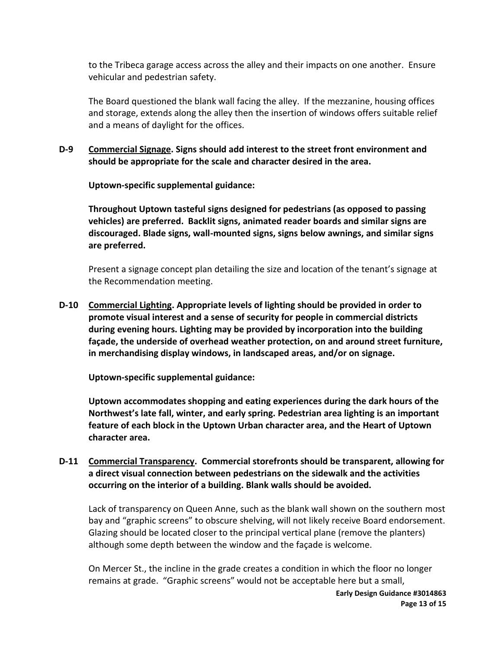to the Tribeca garage access across the alley and their impacts on one another. Ensure vehicular and pedestrian safety.

The Board questioned the blank wall facing the alley. If the mezzanine, housing offices and storage, extends along the alley then the insertion of windows offers suitable relief and a means of daylight for the offices.

**D-9 Commercial Signage. Signs should add interest to the street front environment and should be appropriate for the scale and character desired in the area.**

**Uptown-specific supplemental guidance:**

**Throughout Uptown tasteful signs designed for pedestrians (as opposed to passing vehicles) are preferred. Backlit signs, animated reader boards and similar signs are discouraged. Blade signs, wall-mounted signs, signs below awnings, and similar signs are preferred.**

Present a signage concept plan detailing the size and location of the tenant's signage at the Recommendation meeting.

**D-10 Commercial Lighting. Appropriate levels of lighting should be provided in order to promote visual interest and a sense of security for people in commercial districts during evening hours. Lighting may be provided by incorporation into the building façade, the underside of overhead weather protection, on and around street furniture, in merchandising display windows, in landscaped areas, and/or on signage.**

**Uptown-specific supplemental guidance:**

**Uptown accommodates shopping and eating experiences during the dark hours of the Northwest's late fall, winter, and early spring. Pedestrian area lighting is an important feature of each block in the Uptown Urban character area, and the Heart of Uptown character area.**

**D-11 Commercial Transparency. Commercial storefronts should be transparent, allowing for a direct visual connection between pedestrians on the sidewalk and the activities occurring on the interior of a building. Blank walls should be avoided.**

Lack of transparency on Queen Anne, such as the blank wall shown on the southern most bay and "graphic screens" to obscure shelving, will not likely receive Board endorsement. Glazing should be located closer to the principal vertical plane (remove the planters) although some depth between the window and the façade is welcome.

On Mercer St., the incline in the grade creates a condition in which the floor no longer remains at grade. "Graphic screens" would not be acceptable here but a small,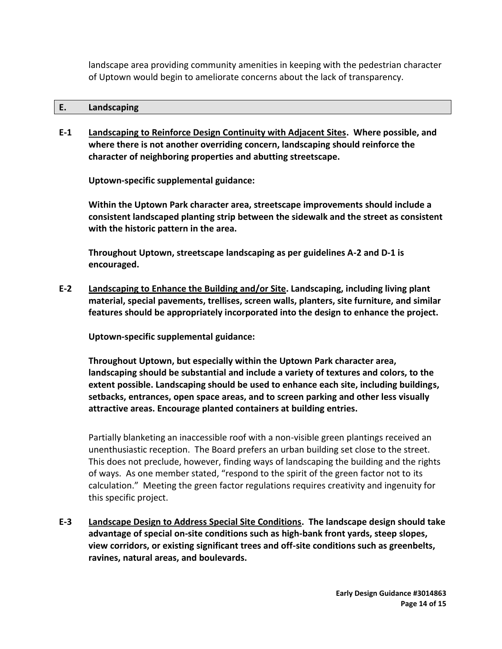landscape area providing community amenities in keeping with the pedestrian character of Uptown would begin to ameliorate concerns about the lack of transparency.

#### **E. Landscaping**

**E-1 Landscaping to Reinforce Design Continuity with Adjacent Sites. Where possible, and where there is not another overriding concern, landscaping should reinforce the character of neighboring properties and abutting streetscape.**

**Uptown-specific supplemental guidance:**

**Within the Uptown Park character area, streetscape improvements should include a consistent landscaped planting strip between the sidewalk and the street as consistent with the historic pattern in the area.** 

**Throughout Uptown, streetscape landscaping as per guidelines A-2 and D-1 is encouraged.**

**E-2 Landscaping to Enhance the Building and/or Site. Landscaping, including living plant material, special pavements, trellises, screen walls, planters, site furniture, and similar features should be appropriately incorporated into the design to enhance the project.**

**Uptown-specific supplemental guidance:**

**Throughout Uptown, but especially within the Uptown Park character area, landscaping should be substantial and include a variety of textures and colors, to the extent possible. Landscaping should be used to enhance each site, including buildings, setbacks, entrances, open space areas, and to screen parking and other less visually attractive areas. Encourage planted containers at building entries.**

Partially blanketing an inaccessible roof with a non-visible green plantings received an unenthusiastic reception. The Board prefers an urban building set close to the street. This does not preclude, however, finding ways of landscaping the building and the rights of ways. As one member stated, "respond to the spirit of the green factor not to its calculation." Meeting the green factor regulations requires creativity and ingenuity for this specific project.

**E-3 Landscape Design to Address Special Site Conditions. The landscape design should take advantage of special on-site conditions such as high-bank front yards, steep slopes, view corridors, or existing significant trees and off-site conditions such as greenbelts, ravines, natural areas, and boulevards.**